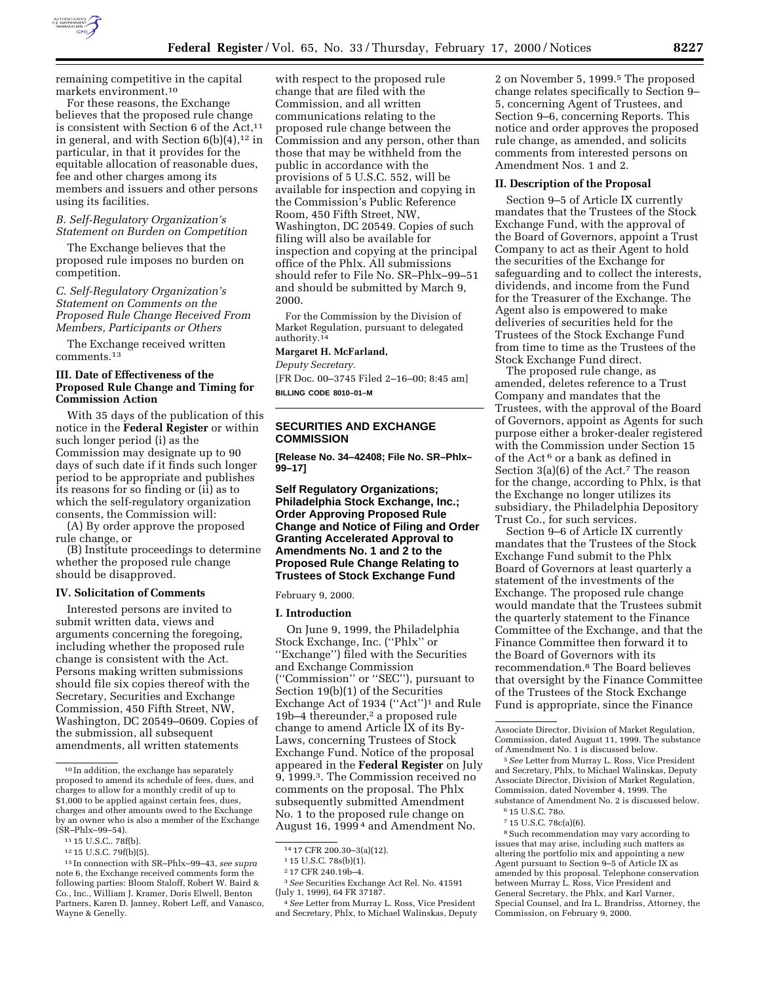

remaining competitive in the capital markets environment.10

For these reasons, the Exchange believes that the proposed rule change is consistent with Section  $6$  of the Act,<sup>11</sup> in general, and with Section  $6(b)(4)$ ,<sup>12</sup> in particular, in that it provides for the equitable allocation of reasonable dues, fee and other charges among its members and issuers and other persons using its facilities.

### *B. Self-Regulatory Organization's Statement on Burden on Competition*

The Exchange believes that the proposed rule imposes no burden on competition.

*C. Self-Regulatory Organization's Statement on Comments on the Proposed Rule Change Received From Members, Participants or Others*

The Exchange received written comments.13

## **III. Date of Effectiveness of the Proposed Rule Change and Timing for Commission Action**

With 35 days of the publication of this notice in the **Federal Register** or within such longer period (i) as the Commission may designate up to 90 days of such date if it finds such longer period to be appropriate and publishes its reasons for so finding or (ii) as to which the self-regulatory organization consents, the Commission will:

(A) By order approve the proposed rule change, or

(B) Institute proceedings to determine whether the proposed rule change should be disapproved.

### **IV. Solicitation of Comments**

Interested persons are invited to submit written data, views and arguments concerning the foregoing, including whether the proposed rule change is consistent with the Act. Persons making written submissions should file six copies thereof with the Secretary, Securities and Exchange Commission, 450 Fifth Street, NW, Washington, DC 20549–0609. Copies of the submission, all subsequent amendments, all written statements

with respect to the proposed rule change that are filed with the Commission, and all written communications relating to the proposed rule change between the Commission and any person, other than those that may be withheld from the public in accordance with the provisions of 5 U.S.C. 552, will be available for inspection and copying in the Commission's Public Reference Room, 450 Fifth Street, NW, Washington, DC 20549. Copies of such filing will also be available for inspection and copying at the principal office of the Phlx. All submissions should refer to File No. SR–Phlx–99–51 and should be submitted by March 9, 2000.

For the Commission by the Division of Market Regulation, pursuant to delegated authority.14

#### **Margaret H. McFarland,**

*Deputy Secretary.* [FR Doc. 00–3745 Filed 2–16–00; 8:45 am] **BILLING CODE 8010–01–M**

# **SECURITIES AND EXCHANGE COMMISSION**

**[Release No. 34–42408; File No. SR–Phlx– 99–17]**

### **Self Regulatory Organizations; Philadelphia Stock Exchange, Inc.; Order Approving Proposed Rule Change and Notice of Filing and Order Granting Accelerated Approval to Amendments No. 1 and 2 to the Proposed Rule Change Relating to Trustees of Stock Exchange Fund**

February 9, 2000.

#### **I. Introduction**

On June 9, 1999, the Philadelphia Stock Exchange, Inc. (''Phlx'' or ''Exchange'') filed with the Securities and Exchange Commission (''Commission'' or ''SEC''), pursuant to Section 19(b)(1) of the Securities Exchange Act of 1934 (''Act'')1 and Rule 19b–4 thereunder,<sup>2</sup> a proposed rule change to amend Article IX of its By-Laws, concerning Trustees of Stock Exchange Fund. Notice of the proposal appeared in the **Federal Register** on July 9, 1999.3. The Commission received no comments on the proposal. The Phlx subsequently submitted Amendment No. 1 to the proposed rule change on August 16, 1999 4 and Amendment No.

2 on November 5, 1999.<sup>5</sup> The proposed change relates specifically to Section 9– 5, concerning Agent of Trustees, and Section 9–6, concerning Reports. This notice and order approves the proposed rule change, as amended, and solicits comments from interested persons on Amendment Nos. 1 and 2.

### **II. Description of the Proposal**

Section 9–5 of Article IX currently mandates that the Trustees of the Stock Exchange Fund, with the approval of the Board of Governors, appoint a Trust Company to act as their Agent to hold the securities of the Exchange for safeguarding and to collect the interests, dividends, and income from the Fund for the Treasurer of the Exchange. The Agent also is empowered to make deliveries of securities held for the Trustees of the Stock Exchange Fund from time to time as the Trustees of the Stock Exchange Fund direct.

The proposed rule change, as amended, deletes reference to a Trust Company and mandates that the Trustees, with the approval of the Board of Governors, appoint as Agents for such purpose either a broker-dealer registered with the Commission under Section 15 of the Act 6 or a bank as defined in Section 3(a)(6) of the Act.<sup>7</sup> The reason for the change, according to Phlx, is that the Exchange no longer utilizes its subsidiary, the Philadelphia Depository Trust Co., for such services.

Section 9–6 of Article IX currently mandates that the Trustees of the Stock Exchange Fund submit to the Phlx Board of Governors at least quarterly a statement of the investments of the Exchange. The proposed rule change would mandate that the Trustees submit the quarterly statement to the Finance Committee of the Exchange, and that the Finance Committee then forward it to the Board of Governors with its recommendation.8 The Board believes that oversight by the Finance Committee of the Trustees of the Stock Exchange Fund is appropriate, since the Finance

<sup>10</sup> In addition, the exchange has separately proposed to amend its schedule of fees, dues, and charges to allow for a monthly credit of up to \$1,000 to be applied against certain fees, dues, charges and other amounts owed to the Exchange by an owner who is also a member of the Exchange (SR–Phlx–99–54).

<sup>11</sup> 15 U.S.C.. 78f(b).

<sup>12</sup> 15 U.S.C. 79f(b)(5).

<sup>13</sup> In connection with SR–Phlx–99–43, *see supra* note 6, the Exchange received comments form the following parties: Bloom Staloff, Robert W. Baird & Co., Inc., William J. Kramer, Doris Elwell, Benton Partners, Karen D. Janney, Robert Leff, and Vanasco, Wayne & Genelly.

<sup>14</sup> 17 CFR 200.30–3(a)(12).

<sup>1</sup> 15 U.S.C. 78s(b)(1).

<sup>2</sup> 17 CFR 240.19b–4.

<sup>3</sup>*See* Securities Exchange Act Rel. No. 41591 (July 1, 1999), 64 FR 37187.

<sup>4</sup>*See* Letter from Murray L. Ross, Vice President and Secretary, Phlx, to Michael Walinskas, Deputy

Associate Director, Division of Market Regulation, Commission, dated August 11, 1999. The substance of Amendment No. 1 is discussed below.

<sup>5</sup>*See* Letter from Murray L. Ross, Vice President and Secretary, Phlx, to Michael Walinskas, Deputy Associate Director, Division of Market Regulation, Commission, dated November 4, 1999. The substance of Amendment No. 2 is discussed below.

<sup>6</sup> 15 U.S.C. 78*o*.

<sup>7</sup> 15 U.S.C. 78c(a)(6).

<sup>8</sup>Such recommendation may vary according to issues that may arise, including such matters as altering the portfolio mix and appointing a new Agent pursuant to Section 9–5 of Article IX as amended by this proposal. Telephone conservation between Murray L. Ross, Vice President and General Secretary, the Phlx, and Karl Varner, Special Counsel, and Ira L. Brandriss, Attorney, the Commission, on February 9, 2000.